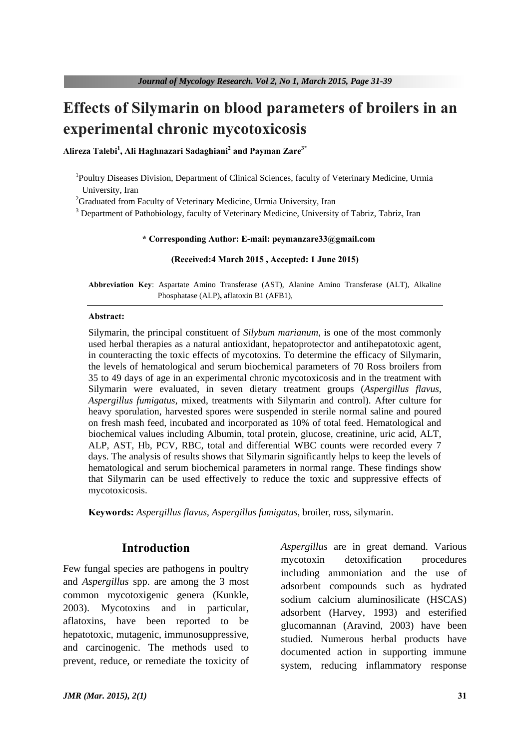# **Effects of Silymarin on blood parameters of broilers in an experimental chronic mycotoxicosis**

**Alireza Talebi<sup>1</sup> , Ali Haghnazari Sadaghiani<sup>2</sup> and Payman Zare3\***

<sup>1</sup>Poultry Diseases Division, Department of Clinical Sciences, faculty of Veterinary Medicine, Urmia University, Iran

 $2<sup>2</sup>$ Graduated from Faculty of Veterinary Medicine, Urmia University, Iran

<sup>3</sup> Department of Pathobiology, faculty of Veterinary Medicine, University of Tabriz, Tabriz, Iran

## **\* Corresponding Author: E-mail: peymanzare33@gmail.com**

#### **(Received:4 March 2015 , Accepted: 1 June 2015)**

**Abbreviation Key**: Aspartate Amino Transferase (AST), Alanine Amino Transferase (ALT), Alkaline Phosphatase (ALP)**,** aflatoxin B1 (AFB1),

### **Abstract:**

Silymarin, the principal constituent of *Silybum marianum*, is one of the most commonly used herbal therapies as a natural antioxidant, hepatoprotector and antihepatotoxic agent, in counteracting the toxic effects of mycotoxins. To determine the efficacy of Silymarin, the levels of hematological and serum biochemical parameters of 70 Ross broilers from 35 to 49 days of age in an experimental chronic mycotoxicosis and in the treatment with Silymarin were evaluated, in seven dietary treatment groups (*Aspergillus flavus, Aspergillus fumigatus*, mixed, treatments with Silymarin and control). After culture for heavy sporulation, harvested spores were suspended in sterile normal saline and poured on fresh mash feed, incubated and incorporated as 10% of total feed. Hematological and biochemical values including Albumin, total protein, glucose, creatinine, uric acid, ALT, ALP, AST, Hb, PCV, RBC, total and differential WBC counts were recorded every 7 days. The analysis of results shows that Silymarin significantly helps to keep the levels of hematological and serum biochemical parameters in normal range. These findings show that Silymarin can be used effectively to reduce the toxic and suppressive effects of mycotoxicosis.

**Keywords:** *Aspergillus flavus*, *Aspergillus fumigatus,* broiler, ross, silymarin.

## **Introduction**

Few fungal species are pathogens in poultry and *Aspergillus* spp. are among the 3 most common mycotoxigenic genera (Kunkle, 2003). Mycotoxins and in particular, aflatoxins, have been reported to be hepatotoxic, mutagenic, immunosuppressive, and carcinogenic. The methods used to prevent, reduce, or remediate the toxicity of *Aspergillus* are in great demand. Various mycotoxin detoxification procedures including ammoniation and the use of adsorbent compounds such as hydrated sodium calcium aluminosilicate (HSCAS) adsorbent (Harvey, 1993) and esterified glucomannan (Aravind, 2003) have been studied. Numerous herbal products have documented action in supporting immune system, reducing inflammatory response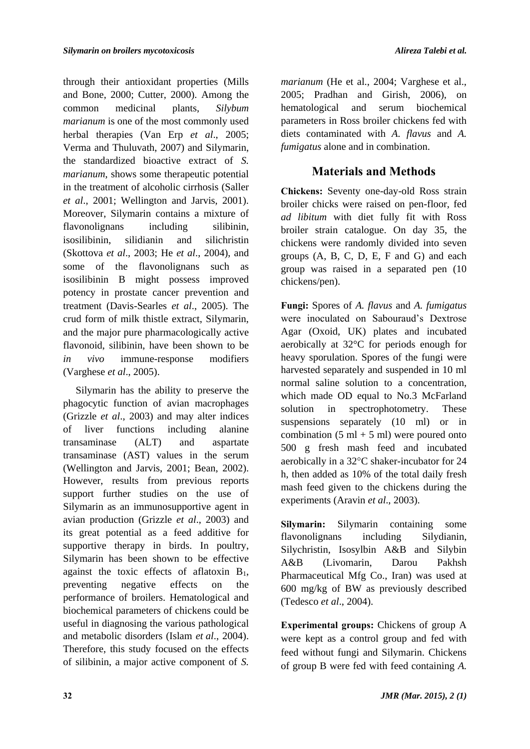through their antioxidant properties (Mills and Bone, 2000; Cutter, 2000). Among the common medicinal plants, *Silybum marianum* is one of the most commonly used herbal therapies (Van Erp *et al*., 2005; Verma and Thuluvath, 2007) and Silymarin, the standardized bioactive extract of *S. marianum*, shows some therapeutic potential in the treatment of alcoholic cirrhosis (Saller *et al*., 2001; Wellington and Jarvis, 2001). Moreover, Silymarin contains a mixture of flavonolignans including silibinin, isosilibinin, silidianin and silichristin (Skottova *et al*., 2003; He *et al*., 2004), and some of the flavonolignans such as isosilibinin B might possess improved potency in prostate cancer prevention and treatment (Davis-Searles *et al*., 2005). The crud form of milk thistle extract, Silymarin, and the major pure pharmacologically active flavonoid, silibinin, have been shown to be *in vivo* immune-response modifiers (Varghese *et al*., 2005).

Silymarin has the ability to preserve the phagocytic function of avian macrophages (Grizzle *et al*., 2003) and may alter indices of liver functions including alanine transaminase (ALT) and aspartate transaminase (AST) values in the serum (Wellington and Jarvis, 2001; Bean, 2002). However, results from previous reports support further studies on the use of Silymarin as an immunosupportive agent in avian production (Grizzle *et al*., 2003) and its great potential as a feed additive for supportive therapy in birds. In poultry, Silymarin has been shown to be effective against the toxic effects of aflatoxin  $B_1$ , preventing negative effects on the performance of broilers. Hematological and biochemical parameters of chickens could be useful in diagnosing the various pathological and metabolic disorders (Islam et al., 2004). Therefore, this study focused on the effects of silibinin, a major active component of *S.* 

*marianum* (He et al., 2004; Varghese et al., 2005; Pradhan and Girish, 2006), on hematological and serum biochemical parameters in Ross broiler chickens fed with diets contaminated with *A. flavus* and *A. fumigatus* alone and in combination.

# **Materials and Methods**

**Chickens:** Seventy one-day-old Ross strain broiler chicks were raised on pen-floor, fed *ad libitum* with diet fully fit with Ross broiler strain catalogue. On day 35, the chickens were randomly divided into seven groups (A, B, C, D, E, F and G) and each group was raised in a separated pen (10 chickens/pen).

**Fungi:** Spores of *A. flavus* and *A. fumigatus* were inoculated on Sabouraud's Dextrose Agar (Oxoid, UK) plates and incubated aerobically at 32°C for periods enough for heavy sporulation. Spores of the fungi were harvested separately and suspended in 10 ml normal saline solution to a concentration, which made OD equal to No.3 McFarland solution in spectrophotometry. These suspensions separately (10 ml) or in combination  $(5 \text{ ml} + 5 \text{ ml})$  were poured onto 500 g fresh mash feed and incubated aerobically in a  $32^{\circ}$ C shaker-incubator for 24 h, then added as 10% of the total daily fresh mash feed given to the chickens during the experiments (Aravin *et al*., 2003).

**Silymarin:** Silymarin containing some flavonolignans including Silydianin, Silychristin, Isosylbin A&B and Silybin A&B (Livomarin, Darou Pakhsh Pharmaceutical Mfg Co., Iran) was used at 600 mg/kg of BW as previously described (Tedesco *et al*., 2004).

**Experimental groups:** Chickens of group A were kept as a control group and fed with feed without fungi and Silymarin. Chickens of group B were fed with feed containing *A.*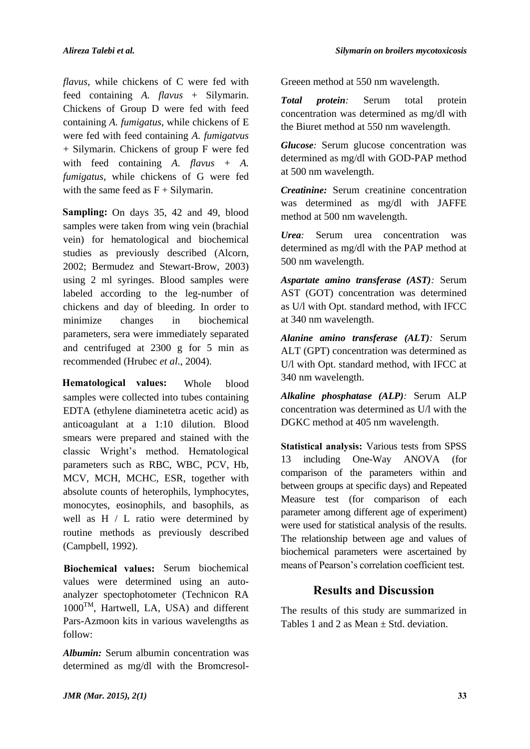*flavus*, while chickens of C were fed with feed containing *A. flavus* + Silymarin. Chickens of Group D were fed with feed containing *A. fumigatus*, while chickens of E were fed with feed containing *A. fumigatvus* + Silymarin. Chickens of group F were fed with feed containing *A. flavus* + *A. fumigatus*, while chickens of G were fed with the same feed as  $F +$  Silymarin.

Sampling: On days 35, 42 and 49, blood samples were taken from wing vein (brachial vein) for hematological and biochemical studies as previously described (Alcorn, 2002; Bermudez and Stewart-Brow, 2003) using 2 ml syringes. Blood samples were labeled according to the leg-number of chickens and day of bleeding. In order to minimize changes in biochemical parameters, sera were immediately separated and centrifuged at 2300 g for 5 min as recommended (Hrubec *et al*., 2004).

Whole blood samples were collected into tubes containing EDTA (ethylene diaminetetra acetic acid) as anticoagulant at a 1:10 dilution. Blood smears were prepared and stained with the classic Wright's method. Hematological parameters such as RBC, WBC, PCV, Hb, MCV, MCH, MCHC, ESR, together with absolute counts of heterophils, lymphocytes, monocytes, eosinophils, and basophils, as well as H / L ratio were determined by routine methods as previously described (Campbell, 1992). **Hematological values:** 

Biochemical values: Serum biochemical values were determined using an autoanalyzer spectophotometer (Technicon RA 1000TM, Hartwell, LA, USA) and different Pars-Azmoon kits in various wavelengths as follow:

*Albumin:* Serum albumin concentration was determined as mg/dl with the BromcresolGreeen method at 550 nm wavelength.

*Total protein:* Serum total protein concentration was determined as mg/dl with the Biuret method at 550 nm wavelength.

*Glucose:* Serum glucose concentration was determined as mg/dl with GOD-PAP method at 500 nm wavelength.

*Creatinine:* Serum creatinine concentration was determined as mg/dl with JAFFE method at 500 nm wavelength.

*Urea:* Serum urea concentration was determined as mg/dl with the PAP method at 500 nm wavelength.

*Aspartate amino transferase (AST):* Serum AST (GOT) concentration was determined as U/l with Opt. standard method, with IFCC at 340 nm wavelength.

*Alanine amino transferase (ALT):* Serum ALT (GPT) concentration was determined as U/l with Opt. standard method, with IFCC at 340 nm wavelength.

*Alkaline phosphatase (ALP):* Serum ALP concentration was determined as U/l with the DGKC method at 405 nm wavelength.

**Statistical analysis:** Various tests from SPSS 13 including One-Way ANOVA (for comparison of the parameters within and between groups at specific days) and Repeated Measure test (for comparison of each parameter among different age of experiment) were used for statistical analysis of the results. The relationship between age and values of biochemical parameters were ascertained by means of Pearson's correlation coefficient test.

# **Results and Discussion**

The results of this study are summarized in Tables 1 and 2 as Mean  $\pm$  Std. deviation.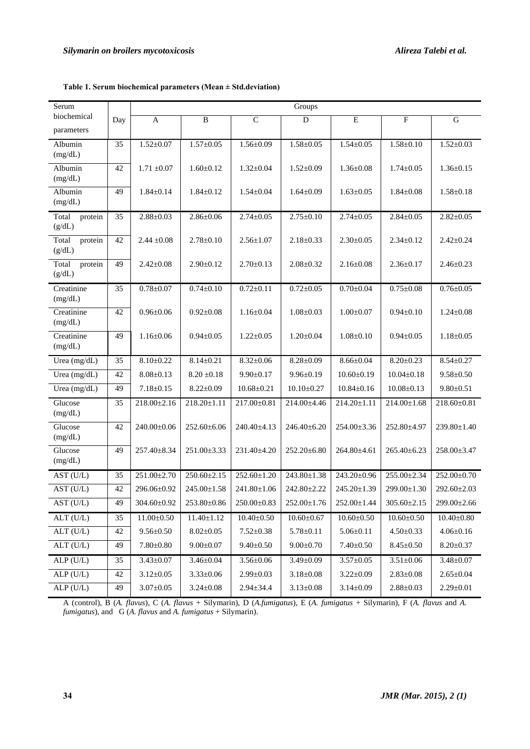| Serum                      |     | Groups            |                   |                   |                   |                   |                   |                   |  |  |
|----------------------------|-----|-------------------|-------------------|-------------------|-------------------|-------------------|-------------------|-------------------|--|--|
| biochemical                | Day | A                 | B                 | $\mathsf{C}$      | D                 | E                 | $\mathbf{F}$      | G                 |  |  |
| parameters                 |     |                   |                   |                   |                   |                   |                   |                   |  |  |
| Albumin<br>(mg/dL)         | 35  | $1.52 \pm 0.07$   | $1.57 \pm 0.05$   | $1.56 \pm 0.09$   | $1.58 \pm 0.05$   | $1.54 \pm 0.05$   | $1.58 \pm 0.10$   | $1.52 \pm 0.03$   |  |  |
| Albumin<br>(mg/dL)         | 42  | $1.71 \pm 0.07$   | $1.60 \pm 0.12$   | $1.32 \pm 0.04$   | $1.52 \pm 0.09$   | $1.36 \pm 0.08$   | $1.74 \pm 0.05$   | $1.36 \pm 0.15$   |  |  |
| Albumin<br>(mg/dL)         | 49  | $1.84 \pm 0.14$   | $1.84 \pm 0.12$   | $1.54 \pm 0.04$   | $1.64 \pm 0.09$   | $1.63 \pm 0.05$   | $1.84 \pm 0.08$   | $1.58 \pm 0.18$   |  |  |
| Total<br>protein<br>(g/dL) | 35  | $2.88 \pm 0.03$   | $2.86 \pm 0.06$   | $2.74 \pm 0.05$   | $2.75 \pm 0.10$   | $2.74 \pm 0.05$   | $2.84 \pm 0.05$   | $2.82 \pm 0.05$   |  |  |
| Total<br>protein<br>(g/dL) | 42  | $2.44 \pm 0.08$   | $2.78 \pm 0.10$   | $2.56 \pm 1.07$   | $2.18 \pm 0.33$   | $2.30 \pm 0.05$   | $2.34 \pm 0.12$   | $2.42 \pm 0.24$   |  |  |
| Total<br>protein<br>(g/dL) | 49  | $2.42 \pm 0.08$   | $2.90 \pm 0.12$   | $2.70 \pm 0.13$   | $2.08 \pm 0.32$   | $2.16 \pm 0.08$   | $2.36 \pm 0.17$   | $2.46 \pm 0.23$   |  |  |
| Creatinine<br>(mg/dL)      | 35  | $0.78 + 0.07$     | $0.74 \pm 0.10$   | $0.72 \pm 0.11$   | $0.72 \pm 0.05$   | $0.70 \pm 0.04$   | $0.75 \pm 0.08$   | $0.76 \pm 0.05$   |  |  |
| Creatinine<br>(mg/dL)      | 42  | $0.96 \pm 0.06$   | $0.92 \pm 0.08$   | $1.16 \pm 0.04$   | $1.08 \pm 0.03$   | $1.00 \pm 0.07$   | $0.94 \pm 0.10$   | $1.24 \pm 0.08$   |  |  |
| Creatinine<br>(mg/dL)      | 49  | $1.16 \pm 0.06$   | $0.94 \pm 0.05$   | $1.22 \pm 0.05$   | $1.20 \pm 0.04$   | $1.08 \pm 0.10$   | $0.94 \pm 0.05$   | $1.18 \pm 0.05$   |  |  |
| Urea (mg/dL)               | 35  | $8.10 \pm 0.22$   | $8.14 \pm 0.21$   | $8.32 \pm 0.06$   | $8.28 \pm 0.09$   | $8.66 \pm 0.04$   | $8.20 \pm 0.23$   | $8.54 \pm 0.27$   |  |  |
| Urea (mg/dL)               | 42  | $8.08 \pm 0.13$   | $8.20 \pm 0.18$   | $9.90 \pm 0.17$   | $9.96 \pm 0.19$   | $10.60 \pm 0.19$  | $10.04 \pm 0.18$  | $9.58 \pm 0.50$   |  |  |
| Urea (mg/dL)               | 49  | $7.18 \pm 0.15$   | $8.22 \pm 0.09$   | $10.68 \pm 0.21$  | $10.10 \pm 0.27$  | $10.84 \pm 0.16$  | $10.08 \pm 0.13$  | $9.80 \pm 0.51$   |  |  |
| Glucose<br>(mg/dL)         | 35  | $218.00 \pm 2.16$ | $218.20 \pm 1.11$ | 217.00±0.81       | 214.00±4.46       | $214.20 \pm 1.11$ | $214.00 \pm 1.68$ | $218.60 \pm 0.81$ |  |  |
| Glucose<br>(mg/dL)         | 42  | 240.00±0.06       | 252.60±6.06       | 240.40±4.13       | 246.40±6.20       | 254.00±3.36       | 252.80±4.97       | 239.80±1.40       |  |  |
| Glucose<br>(mg/dL)         | 49  | 257.40±8.34       | 251.00±3.33       | 231.40±4.20       | 252.20±6.80       | 264.80±4.61       | $265.40\pm6.23$   | $258.00 \pm 3.47$ |  |  |
| AST (U/L)                  | 35  | 251.00±2.70       | $250.60 \pm 2.15$ | $252.60 \pm 1.20$ | $243.80 \pm 1.38$ | 243.20±0.96       | $255.00 \pm 2.34$ | 252.00±0.70       |  |  |
| AST (U/L)                  | 42  | 296.06±0.92       | $245.00 \pm 1.58$ | 241.80±1.06       | 242.80±2.22       | 245.20±1.39       | 299.00±1.30       | $292.60 \pm 2.03$ |  |  |
| AST (U/L)                  | 49  | $304.60 \pm 0.92$ | $253.80 \pm 0.86$ | $250.00 \pm 0.83$ | $252.00 \pm 1.76$ | $252.00 \pm 1.44$ | $305.60 \pm 2.15$ | $299.00 \pm 2.66$ |  |  |
| ALT(U/L)                   | 35  | $11.00 \pm 0.50$  | $11.40 \pm 1.12$  | $10.40 \pm 0.50$  | $10.60 \pm 0.67$  | $10.60 \pm 0.50$  | $10.60 \pm 0.50$  | $10.40 \pm 0.80$  |  |  |
| $ALT$ (U/L)                | 42  | $9.56 \pm 0.50$   | $8.02 \pm 0.05$   | $7.52 \pm 0.38$   | $5.78 \pm 0.11$   | $5.06 \pm 0.11$   | $4.50 \pm 0.33$   | $4.06 \pm 0.16$   |  |  |
| $ALT$ (U/L)                | 49  | $7.80 \pm 0.80$   | $9.00 \pm 0.07$   | $9.40 \pm 0.50$   | $9.00 \pm 0.70$   | $7.40 \pm 0.50$   | $8.45 \pm 0.50$   | $8.20 \pm 0.37$   |  |  |
| ALP(U/L)                   | 35  | $3.43 \pm 0.07$   | $3.46 \pm 0.04$   | $3.56 \pm 0.06$   | $3.49 \pm 0.09$   | $3.57{\pm}0.05$   | $3.51 \pm 0.06$   | $3.48 \pm 0.07$   |  |  |
| ALP (U/L)                  | 42  | $3.12 \pm 0.05$   | $3.33 \pm 0.06$   | $2.99 \pm 0.03$   | $3.18 \pm 0.08$   | $3.22 \pm 0.09$   | $2.83 \pm 0.08$   | $2.65 \pm 0.04$   |  |  |

**Table 1. Serum biochemical parameters (Mean ± Std.deviation)** 

A (control), B (*A. flavus*), C (*A. flavus* + Silymarin), D (*A.fumigatus*), E (*A. fumigatus* + Silymarin), F (*A. flavus* and *A. fumigatus*), and G (*A. flavus* and *A. fumigatus* + Silymarin).

 $\text{ALP (U/L)}$  49 3.07±0.05 3.24±0.08 2.94±34.4 3.13±0.08 3.14±0.09 2.88±0.03 2.29±0.01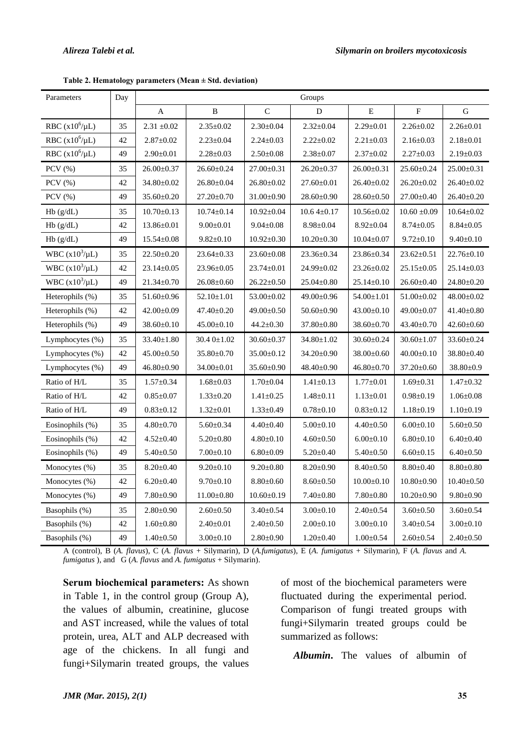| Parameters          | Day | Groups           |                  |                  |                  |                  |                  |                  |  |
|---------------------|-----|------------------|------------------|------------------|------------------|------------------|------------------|------------------|--|
|                     |     | A                | B                | $\mathbf C$      | D                | $\mathbf E$      | ${\bf F}$        | G                |  |
| RBC $(x10^6/\mu L)$ | 35  | $2.31 \pm 0.02$  | $2.35 \pm 0.02$  | $2.30 \pm 0.04$  | $2.32 \pm 0.04$  | $2.29 \pm 0.01$  | $2.26 \pm 0.02$  | $2.26 \pm 0.01$  |  |
| RBC $(x10^6/\mu L)$ | 42  | $2.87 \pm 0.02$  | $2.23 \pm 0.04$  | $2.24 \pm 0.03$  | $2.22 \pm 0.02$  | $2.21 \pm 0.03$  | $2.16 \pm 0.03$  | $2.18 \pm 0.01$  |  |
| RBC $(x10^6/\mu L)$ | 49  | $2.90 \pm 0.01$  | $2.28 \pm 0.03$  | $2.50 \pm 0.08$  | $2.38 \pm 0.07$  | $2.37 \pm 0.02$  | $2.27 \pm 0.03$  | $2.19 \pm 0.03$  |  |
| $PCV$ $(\% )$       | 35  | $26.00 \pm 0.37$ | $26.60 \pm 0.24$ | $27.00 \pm 0.31$ | $26.20 \pm 0.37$ | $26.00 \pm 0.31$ | $25.60 \pm 0.24$ | $25.00 \pm 0.31$ |  |
| $PCV$ $(\% )$       | 42  | 34.80±0.02       | $26.80 \pm 0.04$ | $26.80 \pm 0.02$ | $27.60 \pm 0.01$ | $26.40 \pm 0.02$ | $26.20 \pm 0.02$ | $26.40 \pm 0.02$ |  |
| $PCV$ $(\% )$       | 49  | $35.60 \pm 0.20$ | $27.20 \pm 0.70$ | $31.00 \pm 0.90$ | $28.60 \pm 0.90$ | $28.60 \pm 0.50$ | $27.00 \pm 0.40$ | $26.40 \pm 0.20$ |  |
| Hb(g/dL)            | 35  | $10.70 \pm 0.13$ | $10.74 \pm 0.14$ | $10.92 \pm 0.04$ | $10.64 \pm 0.17$ | $10.56 \pm 0.02$ | $10.60 \pm 0.09$ | $10.64 \pm 0.02$ |  |
| Hb(g/dL)            | 42  | $13.86 \pm 0.01$ | $9.00 \pm 0.01$  | $9.04 \pm 0.08$  | $8.98 \pm 0.04$  | $8.92 \pm 0.04$  | $8.74 \pm 0.05$  | $8.84 \pm 0.05$  |  |
| Hb(g/dL)            | 49  | $15.54 \pm 0.08$ | $9.82 \pm 0.10$  | $10.92 \pm 0.30$ | $10.20 \pm 0.30$ | $10.04 \pm 0.07$ | $9.72 \pm 0.10$  | $9.40 \pm 0.10$  |  |
| WBC $(x10^3/\mu L)$ | 35  | $22.50 \pm 0.20$ | $23.64 \pm 0.33$ | $23.60 \pm 0.08$ | 23.36±0.34       | 23.86±0.34       | $23.62 \pm 0.51$ | $22.76 \pm 0.10$ |  |
| WBC $(x10^3/\mu L)$ | 42  | $23.14 \pm 0.05$ | $23.96 \pm 0.05$ | $23.74 \pm 0.01$ | $24.99 \pm 0.02$ | $23.26 \pm 0.02$ | $25.15 \pm 0.05$ | $25.14 \pm 0.03$ |  |
| WBC $(x10^3/\mu L)$ | 49  | $21.34 \pm 0.70$ | $26.08 \pm 0.60$ | $26.22 \pm 0.50$ | $25.04 \pm 0.80$ | $25.14 \pm 0.10$ | $26.60 \pm 0.40$ | $24.80 \pm 0.20$ |  |
| Heterophils (%)     | 35  | $51.60 \pm 0.96$ | $52.10 \pm 1.01$ | $53.00 \pm 0.02$ | 49.00±0.96       | $54.00 \pm 1.01$ | $51.00 \pm 0.02$ | $48.00 \pm 0.02$ |  |
| Heterophils $(\%)$  | 42  | $42.00 \pm 0.09$ | $47.40 \pm 0.20$ | $49.00 \pm 0.50$ | $50.60 \pm 0.90$ | $43.00 \pm 0.10$ | 49.00±0.07       | $41.40 \pm 0.80$ |  |
| Heterophils $(\%)$  | 49  | $38.60 \pm 0.10$ | $45.00 \pm 0.10$ | $44.2 \pm 0.30$  | $37.80 \pm 0.80$ | $38.60 \pm 0.70$ | $43.40 \pm 0.70$ | $42.60 \pm 0.60$ |  |
| Lymphocytes (%)     | 35  | $33.40 \pm 1.80$ | 30.4 0±1.02      | $30.60 \pm 0.37$ | $34.80 \pm 1.02$ | $30.60 \pm 0.24$ | $30.60 \pm 1.07$ | $33.60 \pm 0.24$ |  |
| Lymphocytes (%)     | 42  | $45.00 \pm 0.50$ | $35.80 \pm 0.70$ | $35.00 \pm 0.12$ | 34.20±0.90       | $38.00 \pm 0.60$ | $40.00 \pm 0.10$ | $38.80 \pm 0.40$ |  |
| Lymphocytes $(\% )$ | 49  | $46.80 \pm 0.90$ | $34.00 \pm 0.01$ | $35.60 \pm 0.90$ | $48.40 \pm 0.90$ | $46.80 \pm 0.70$ | $37.20 \pm 0.60$ | $38.80 \pm 0.9$  |  |
| Ratio of H/L        | 35  | $1.57 \pm 0.34$  | $1.68 \pm 0.03$  | $1.70 \pm 0.04$  | $1.41 \pm 0.13$  | $1.77 \pm 0.01$  | $1.69 \pm 0.31$  | $1.47 \pm 0.32$  |  |
| Ratio of H/L        | 42  | $0.85 \pm 0.07$  | $1.33 \pm 0.20$  | $1.41 \pm 0.25$  | $1.48 \pm 0.11$  | $1.13 \pm 0.01$  | $0.98 \pm 0.19$  | $1.06 \pm 0.08$  |  |
| Ratio of H/L        | 49  | $0.83 \pm 0.12$  | $1.32 \pm 0.01$  | $1.33 \pm 0.49$  | $0.78 \pm 0.10$  | $0.83 \pm 0.12$  | $1.18 \pm 0.19$  | $1.10\pm0.19$    |  |
| Eosinophils (%)     | 35  | $4.80 \pm 0.70$  | $5.60 \pm 0.34$  | $4.40 \pm 0.40$  | $5.00 \pm 0.10$  | $4.40 \pm 0.50$  | $6.00 \pm 0.10$  | $5.60 \pm 0.50$  |  |
| Eosinophils (%)     | 42  | $4.52 \pm 0.40$  | $5.20 \pm 0.80$  | $4.80 \pm 0.10$  | $4.60 \pm 0.50$  | $6.00 \pm 0.10$  | $6.80 \pm 0.10$  | $6.40 \pm 0.40$  |  |
| Eosinophils (%)     | 49  | $5.40 \pm 0.50$  | $7.00 \pm 0.10$  | $6.80 \pm 0.09$  | $5.20 \pm 0.40$  | $5.40 \pm 0.50$  | $6.60 \pm 0.15$  | $6.40 \pm 0.50$  |  |
| Monocytes $(\%)$    | 35  | $8.20 \pm 0.40$  | $9.20 \pm 0.10$  | $9.20 \pm 0.80$  | $8.20 \pm 0.90$  | $8.40 \pm 0.50$  | $8.80 \pm 0.40$  | $8.80 \pm 0.80$  |  |
| Monocytes $(\% )$   | 42  | $6.20 \pm 0.40$  | $9.70 \pm 0.10$  | $8.80 \pm 0.60$  | $8.60 \pm 0.50$  | $10.00 \pm 0.10$ | $10.80 \pm 0.90$ | $10.40 \pm 0.50$ |  |
| Monocytes (%)       | 49  | $7.80 \pm 0.90$  | $11.00 \pm 0.80$ | $10.60 \pm 0.19$ | $7.40 \pm 0.80$  | $7.80 \pm 0.80$  | $10.20 \pm 0.90$ | $9.80 \pm 0.90$  |  |
| Basophils (%)       | 35  | $2.80 \pm 0.90$  | $2.60 \pm 0.50$  | $3.40 \pm 0.54$  | $3.00 \pm 0.10$  | $2.40 \pm 0.54$  | $3.60 \pm 0.50$  | $3.60 \pm 0.54$  |  |
| Basophils (%)       | 42  | $1.60 \pm 0.80$  | $2.40 \pm 0.01$  | $2.40 \pm 0.50$  | $2.00 \pm 0.10$  | $3.00 \pm 0.10$  | $3.40 \pm 0.54$  | $3.00 \pm 0.10$  |  |
| Basophils (%)       | 49  | $1.40 \pm 0.50$  | $3.00 \pm 0.10$  | $2.80 \pm 0.90$  | $1.20 \pm 0.40$  | $1.00 \pm 0.54$  | $2.60 \pm 0.54$  | $2.40 \pm 0.50$  |  |

**Table 2. Hematology parameters (Mean ± Std. deviation)** 

A (control), B (*A. flavus*), C (*A. flavus* + Silymarin), D (*A.fumigatus*), E (*A. fumigatus* + Silymarin), F (*A. flavus* and *A. fumigatus* ), and G (*A. flavus* and *A. fumigatus* + Silymarin).

**Serum biochemical parameters:** As shown in Table 1, in the control group (Group A), the values of albumin, creatinine, glucose and AST increased, while the values of total protein, urea, ALT and ALP decreased with age of the chickens. In all fungi and fungi+Silymarin treated groups, the values of most of the biochemical parameters were fluctuated during the experimental period. Comparison of fungi treated groups with fungi+Silymarin treated groups could be summarized as follows:

*Albumin***.** The values of albumin of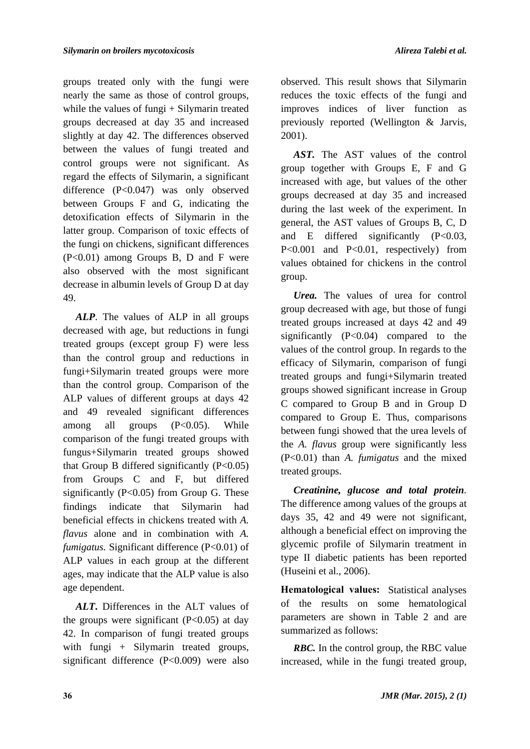groups treated only with the fungi were nearly the same as those of control groups, while the values of fungi + Silymarin treated groups decreased at day 35 and increased slightly at day 42. The differences observed between the values of fungi treated and control groups were not significant. As regard the effects of Silymarin, a significant difference (P<0.047) was only observed between Groups F and G, indicating the detoxification effects of Silymarin in the latter group. Comparison of toxic effects of the fungi on chickens, significant differences (P<0.01) among Groups B, D and F were also observed with the most significant decrease in albumin levels of Group D at day 49.

*ALP*. The values of ALP in all groups decreased with age, but reductions in fungi treated groups (except group F) were less than the control group and reductions in fungi+Silymarin treated groups were more than the control group. Comparison of the ALP values of different groups at days 42 and 49 revealed significant differences among all groups (P<0.05). While comparison of the fungi treated groups with fungus+Silymarin treated groups showed that Group B differed significantly  $(P<0.05)$ from Groups C and F, but differed significantly  $(P<0.05)$  from Group G. These findings indicate that Silymarin had beneficial effects in chickens treated with *A. flavus* alone and in combination with *A. fumigatus.* Significant difference (P<0.01) of ALP values in each group at the different ages, may indicate that the ALP value is also age dependent.

*ALT***.** Differences in the ALT values of the groups were significant  $(P<0.05)$  at day 42. In comparison of fungi treated groups with fungi + Silymarin treated groups, significant difference (P<0.009) were also observed. This result shows that Silymarin reduces the toxic effects of the fungi and improves indices of liver function as previously reported (Wellington & Jarvis, 2001).

*AST.* The AST values of the control group together with Groups E, F and G increased with age, but values of the other groups decreased at day 35 and increased during the last week of the experiment. In general, the AST values of Groups B, C, D and E differed significantly  $(P<0.03$ , P<0.001 and P<0.01, respectively) from values obtained for chickens in the control group.

*Urea.* The values of urea for control group decreased with age, but those of fungi treated groups increased at days 42 and 49 significantly  $(P<0.04)$  compared to the values of the control group. In regards to the efficacy of Silymarin, comparison of fungi treated groups and fungi+Silymarin treated groups showed significant increase in Group C compared to Group B and in Group D compared to Group E. Thus, comparisons between fungi showed that the urea levels of the *A. flavus* group were significantly less (P<0.01) than *A. fumigatus* and the mixed treated groups.

*Creatinine, glucose and total protein.*  The difference among values of the groups at days 35, 42 and 49 were not significant, although a beneficial effect on improving the glycemic profile of Silymarin treatment in type II diabetic patients has been reported (Huseini et al., 2006).

Hematological values: Statistical analyses of the results on some hematological parameters are shown in Table 2 and are summarized as follows:

*RBC.* In the control group, the RBC value increased, while in the fungi treated group,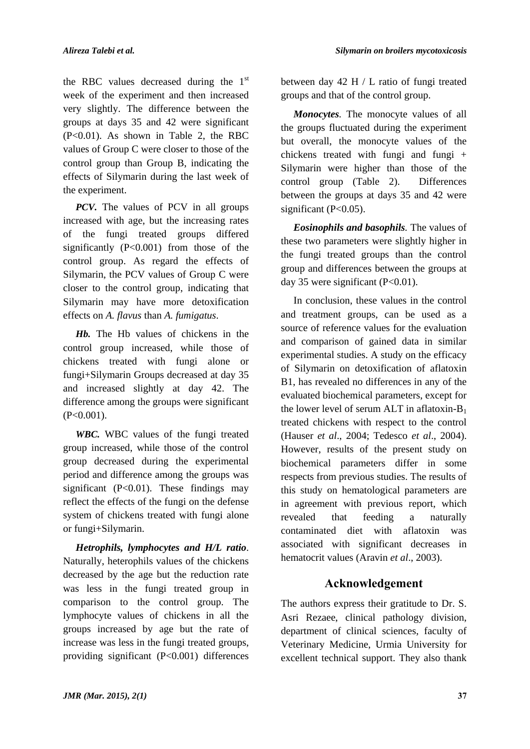the RBC values decreased during the  $1<sup>st</sup>$ week of the experiment and then increased very slightly. The difference between the groups at days 35 and 42 were significant (P<0.01). As shown in Table 2, the RBC values of Group C were closer to those of the control group than Group B, indicating the effects of Silymarin during the last week of the experiment.

*PCV*. The values of PCV in all groups increased with age, but the increasing rates of the fungi treated groups differed significantly  $(P<0.001)$  from those of the control group. As regard the effects of Silymarin, the PCV values of Group C were closer to the control group, indicating that Silymarin may have more detoxification effects on *A. flavus* than *A. fumigatus*.

*Hb.* The Hb values of chickens in the control group increased, while those of chickens treated with fungi alone or fungi+Silymarin Groups decreased at day 35 and increased slightly at day 42. The difference among the groups were significant  $(P<0.001)$ .

*WBC.* WBC values of the fungi treated group increased, while those of the control group decreased during the experimental period and difference among the groups was significant  $(P<0.01)$ . These findings may reflect the effects of the fungi on the defense system of chickens treated with fungi alone or fungi+Silymarin.

*Hetrophils, lymphocytes and H/L ratio*. Naturally, heterophils values of the chickens decreased by the age but the reduction rate was less in the fungi treated group in comparison to the control group. The lymphocyte values of chickens in all the groups increased by age but the rate of increase was less in the fungi treated groups, providing significant (P<0.001) differences

between day 42 H / L ratio of fungi treated groups and that of the control group.

*Monocytes.* The monocyte values of all the groups fluctuated during the experiment but overall, the monocyte values of the chickens treated with fungi and fungi + Silymarin were higher than those of the control group (Table 2). Differences between the groups at days 35 and 42 were significant (P<0.05).

*Eosinophils and basophils.* The values of these two parameters were slightly higher in the fungi treated groups than the control group and differences between the groups at day 35 were significant  $(P<0.01)$ .

In conclusion, these values in the control and treatment groups, can be used as a source of reference values for the evaluation and comparison of gained data in similar experimental studies. A study on the efficacy of Silymarin on detoxification of aflatoxin B1, has revealed no differences in any of the evaluated biochemical parameters, except for the lower level of serum ALT in aflatoxin- $B_1$ treated chickens with respect to the control (Hauser *et al*., 2004; Tedesco *et al*., 2004). However, results of the present study on biochemical parameters differ in some respects from previous studies. The results of this study on hematological parameters are in agreement with previous report, which revealed that feeding a naturally contaminated diet with aflatoxin was associated with significant decreases in hematocrit values (Aravin *et al*., 2003).

# **Acknowledgement**

The authors express their gratitude to Dr. S. Asri Rezaee, clinical pathology division, department of clinical sciences, faculty of Veterinary Medicine, Urmia University for excellent technical support. They also thank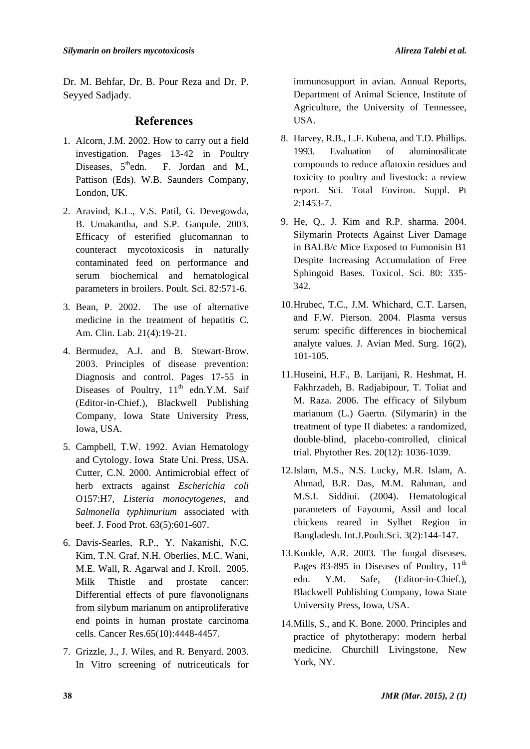Seyyed Sadjady.

**References**

- 1. Alcorn, J.M. 2002. How to carry out a field investigation. Pages 13-42 in Poultry Diseases,  $5<sup>th</sup>$ edn. F. Jordan and M., Pattison (Eds). W.B. Saunders Company, London, UK.
- 2. Aravind, K.L., V.S. Patil, G. Devegowda, B. Umakantha, and S.P. Ganpule. 2003. Efficacy of esterified glucomannan to counteract mycotoxicosis in naturally contaminated feed on performance and serum biochemical and hematological parameters in broilers. Poult. Sci. 82:571-6.
- 3. Bean, P. 2002. The use of alternative medicine in the treatment of hepatitis C. Am. Clin. Lab. 21(4):19-21.
- 4. Bermudez, A.J. and B. Stewart-Brow. 2003. Principles of disease prevention: Diagnosis and control. Pages 17-55 in Diseases of Poultry, 11<sup>th</sup> edn.Y.M. Saif (Editor-in-Chief.), Blackwell Publishing Company, Iowa State University Press, Iowa, USA.
- 5. Campbell, T.W. 1992. Avian Hematology and Cytology. Iowa State Uni. Press, USA. Cutter, C.N. 2000. Antimicrobial effect of herb extracts against *Escherichia coli*  O157:H7, *Listeria monocytogenes,* and *Salmonella typhimurium* associated with beef. J. Food Prot. 63(5):601-607.
- 6. Davis-Searles, R.P., Y. Nakanishi, N.C. Kim, T.N. Graf, N.H. Oberlies, M.C. Wani, M.E. Wall, R. Agarwal and J. Kroll. 2005. Milk Thistle and prostate cancer: Differential effects of pure flavonolignans from silybum marianum on antiproliferative end points in human prostate carcinoma cells. Cancer Res.65(10):4448-4457.
- 7. Grizzle, J., J. Wiles, and R. Benyard. 2003. In Vitro screening of nutriceuticals for

immunosupport in avian. Annual Reports, Department of Animal Science, Institute of Agriculture, the University of Tennessee, USA.

- 8. Harvey, R.B., L.F. Kubena, and T.D. Phillips. 1993. Evaluation of aluminosilicate compounds to reduce aflatoxin residues and toxicity to poultry and livestock: a review report. Sci. Total Environ. Suppl. Pt 2:1453-7.
- 9. He, Q., J. Kim and R.P. sharma. 2004. Silymarin Protects Against Liver Damage in BALB/c Mice Exposed to Fumonisin B1 Despite Increasing Accumulation of Free Sphingoid Bases. Toxicol. Sci. 80: 335- 342.
- 10.Hrubec, T.C., J.M. Whichard, C.T. Larsen, and F.W. Pierson. 2004. Plasma versus serum: specific differences in biochemical analyte values. J. Avian Med. Surg. 16(2), 101-105.
- 11.Huseini, H.F., B. Larijani, R. Heshmat, H. Fakhrzadeh, B. Radjabipour, T. Toliat and M. Raza. 2006. The efficacy of Silybum marianum (L.) Gaertn. (Silymarin) in the treatment of type II diabetes: a randomized, double-blind, placebo-controlled, clinical trial. Phytother Res. 20(12): 1036-1039.
- 12.Islam, M.S., N.S. Lucky, M.R. Islam, A. Ahmad, B.R. Das, M.M. Rahman, and M.S.I. Siddiui. (2004). Hematological parameters of Fayoumi, Assil and local chickens reared in Sylhet Region in Bangladesh. Int.J.Poult.Sci. 3(2):144-147.
- 13.Kunkle, A.R. 2003. The fungal diseases. Pages 83-895 in Diseases of Poultry,  $11<sup>th</sup>$ edn. Y.M. Safe, (Editor-in-Chief.), Blackwell Publishing Company, Iowa State University Press, Iowa, USA.
- 14.Mills, S., and K. Bone. 2000. Principles and practice of phytotherapy: modern herbal medicine. Churchill Livingstone, New York, NY.